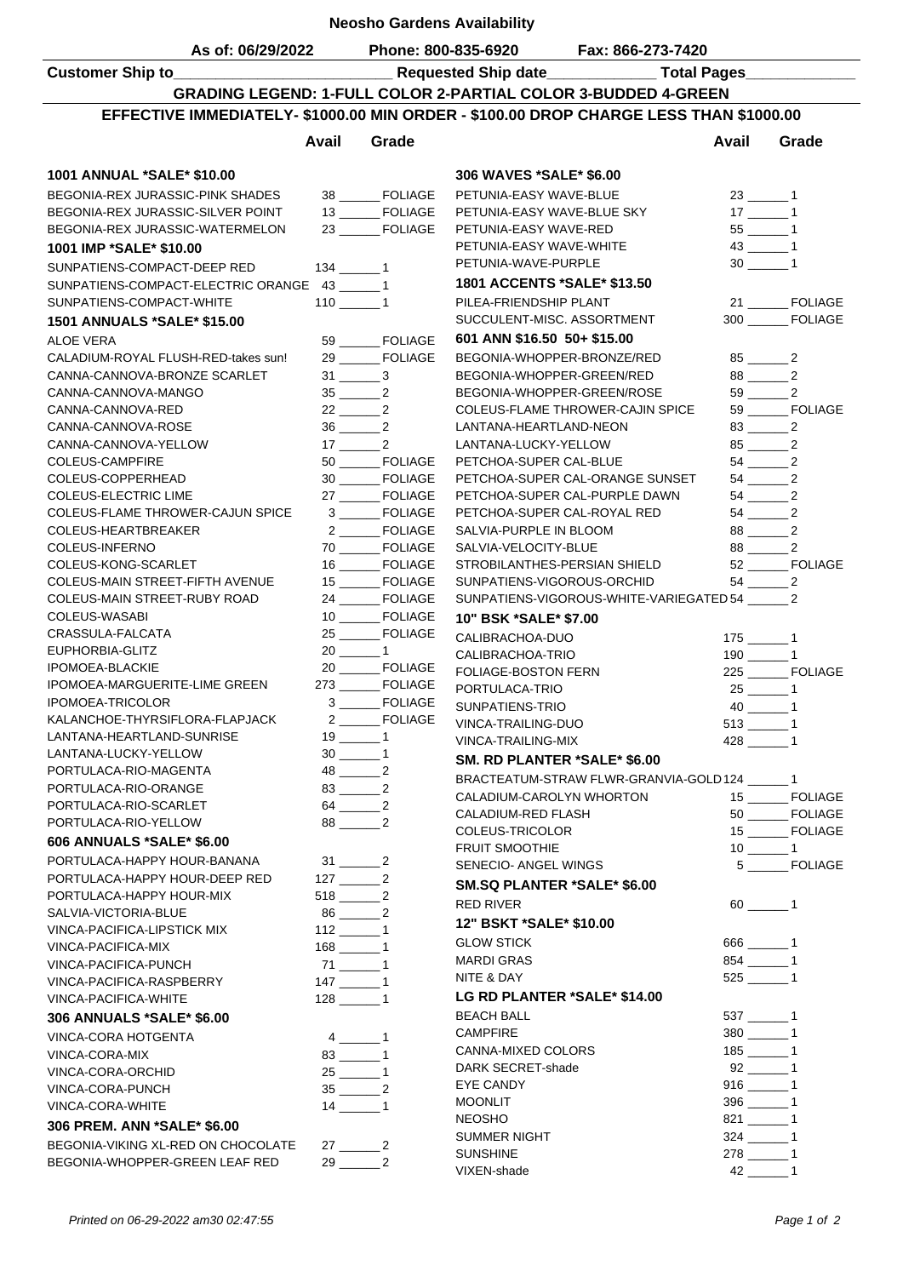| <b>Neosho Gardens Availability</b>                                                    |                                  |                                                                    |                                                         |                                                   |                                                                    |                                                                    |  |  |  |  |
|---------------------------------------------------------------------------------------|----------------------------------|--------------------------------------------------------------------|---------------------------------------------------------|---------------------------------------------------|--------------------------------------------------------------------|--------------------------------------------------------------------|--|--|--|--|
| As of: 06/29/2022                                                                     |                                  |                                                                    |                                                         | Phone: 800-835-6920 Fax: 866-273-7420             |                                                                    |                                                                    |  |  |  |  |
|                                                                                       |                                  |                                                                    |                                                         |                                                   |                                                                    |                                                                    |  |  |  |  |
| <b>GRADING LEGEND: 1-FULL COLOR 2-PARTIAL COLOR 3-BUDDED 4-GREEN</b>                  |                                  |                                                                    |                                                         |                                                   |                                                                    |                                                                    |  |  |  |  |
| EFFECTIVE IMMEDIATELY- \$1000.00 MIN ORDER - \$100.00 DROP CHARGE LESS THAN \$1000.00 |                                  |                                                                    |                                                         |                                                   |                                                                    |                                                                    |  |  |  |  |
|                                                                                       | Avail                            | Grade                                                              |                                                         |                                                   | Avail                                                              | Grade                                                              |  |  |  |  |
|                                                                                       |                                  |                                                                    |                                                         |                                                   |                                                                    |                                                                    |  |  |  |  |
| 1001 ANNUAL *SALE* \$10.00                                                            |                                  |                                                                    | 306 WAVES *SALE* \$6.00                                 |                                                   |                                                                    |                                                                    |  |  |  |  |
| BEGONIA-REX JURASSIC-PINK SHADES<br>BEGONIA-REX JURASSIC-SILVER POINT                 |                                  | 38 ______FOLIAGE<br>13 _______ FOLIAGE                             | PETUNIA-EASY WAVE-BLUE<br>PETUNIA-EASY WAVE-BLUE SKY    |                                                   | $23$ $-$ 1<br>$17$ 1                                               |                                                                    |  |  |  |  |
| BEGONIA-REX JURASSIC-WATERMELON                                                       |                                  | 23 _______ FOLIAGE                                                 | PETUNIA-EASY WAVE-RED                                   |                                                   |                                                                    |                                                                    |  |  |  |  |
| 1001 IMP *SALE* \$10.00                                                               |                                  |                                                                    | PETUNIA-EASY WAVE-WHITE                                 |                                                   |                                                                    |                                                                    |  |  |  |  |
| SUNPATIENS-COMPACT-DEEP RED                                                           | $134 \_ 1$                       |                                                                    | PETUNIA-WAVE-PURPLE                                     |                                                   | $30 \_ 1$                                                          |                                                                    |  |  |  |  |
| SUNPATIENS-COMPACT-ELECTRIC ORANGE 43 ______ 1                                        |                                  |                                                                    | 1801 ACCENTS *SALE* \$13.50                             |                                                   |                                                                    |                                                                    |  |  |  |  |
| SUNPATIENS-COMPACT-WHITE                                                              | $110$ 1                          |                                                                    | PILEA-FRIENDSHIP PLANT                                  |                                                   |                                                                    | 21 ________ FOLIAGE                                                |  |  |  |  |
| <b>1501 ANNUALS *SALE* \$15.00</b>                                                    |                                  |                                                                    | SUCCULENT-MISC, ASSORTMENT                              |                                                   |                                                                    | 300 FOLIAGE                                                        |  |  |  |  |
| <b>ALOE VERA</b>                                                                      |                                  | 59 _______ FOLIAGE                                                 | 601 ANN \$16.50 50+ \$15.00                             |                                                   |                                                                    |                                                                    |  |  |  |  |
| CALADIUM-ROYAL FLUSH-RED-takes sun!                                                   |                                  | 29 ______ FOLIAGE                                                  | BEGONIA-WHOPPER-BRONZE/RED                              |                                                   |                                                                    | $85 \underline{\hspace{1cm}} 2$                                    |  |  |  |  |
| CANNA-CANNOVA-BRONZE SCARLET<br>CANNA-CANNOVA-MANGO                                   |                                  | $31 \underline{\hspace{1cm}} 3$<br>$35 \underline{\hspace{1cm}} 2$ | BEGONIA-WHOPPER-GREEN/RED<br>BEGONIA-WHOPPER-GREEN/ROSE |                                                   |                                                                    | $88 \underline{\hspace{1cm}} 2$<br>$59 \underline{\hspace{1cm}} 2$ |  |  |  |  |
| CANNA-CANNOVA-RED                                                                     |                                  | $22$ $2$                                                           |                                                         | COLEUS-FLAME THROWER-CAJIN SPICE                  |                                                                    | 59 ______ FOLIAGE                                                  |  |  |  |  |
| CANNA-CANNOVA-ROSE                                                                    |                                  | $36 \underline{\hspace{1cm}} 2$                                    | LANTANA-HEARTLAND-NEON                                  |                                                   |                                                                    | $83 \underline{\hspace{1cm}} 2$                                    |  |  |  |  |
| CANNA-CANNOVA-YELLOW                                                                  |                                  | $17 \underline{\hspace{1cm}} 2$                                    | LANTANA-LUCKY-YELLOW                                    |                                                   |                                                                    |                                                                    |  |  |  |  |
| COLEUS-CAMPFIRE                                                                       |                                  | 50 _______ FOLIAGE                                                 | PETCHOA-SUPER CAL-BLUE                                  |                                                   |                                                                    | $54 \underline{\hspace{1cm}} 2$                                    |  |  |  |  |
| COLEUS-COPPERHEAD                                                                     |                                  | 30 ______ FOLIAGE                                                  |                                                         | PETCHOA-SUPER CAL-ORANGE SUNSET                   |                                                                    | $54 \underline{\hspace{1cm}} 2$                                    |  |  |  |  |
| COLEUS-ELECTRIC LIME                                                                  |                                  | 27 _______ FOLIAGE<br>3 _______ FOLIAGE                            |                                                         | PETCHOA-SUPER CAL-PURPLE DAWN                     |                                                                    | $54 \underline{\hspace{1cm}} 2$                                    |  |  |  |  |
| COLEUS-FLAME THROWER-CAJUN SPICE<br>COLEUS-HEARTBREAKER                               |                                  | 2 _______ FOLIAGE                                                  | PETCHOA-SUPER CAL-ROYAL RED<br>SALVIA-PURPLE IN BLOOM   |                                                   | $54 \underline{\hspace{1cm}} 2$<br>$88 \underline{\hspace{1cm}} 2$ |                                                                    |  |  |  |  |
| COLEUS-INFERNO                                                                        |                                  | 70 _______ FOLIAGE                                                 | SALVIA-VELOCITY-BLUE                                    |                                                   |                                                                    | $88 \underline{\hspace{1cm}} 2$                                    |  |  |  |  |
| COLEUS-KONG-SCARLET                                                                   |                                  | 16 _______ FOLIAGE                                                 | STROBILANTHES-PERSIAN SHIELD                            |                                                   |                                                                    | 52 ______ FOLIAGE                                                  |  |  |  |  |
| COLEUS-MAIN STREET-FIFTH AVENUE                                                       |                                  | 15 _______ FOLIAGE                                                 | SUNPATIENS-VIGOROUS-ORCHID                              |                                                   |                                                                    | $54 \underline{\hspace{1cm}} 2$                                    |  |  |  |  |
| COLEUS-MAIN STREET-RUBY ROAD                                                          |                                  | 24 ______ FOLIAGE                                                  |                                                         | SUNPATIENS-VIGOROUS-WHITE-VARIEGATED 54 _______ 2 |                                                                    |                                                                    |  |  |  |  |
| COLEUS-WASABI                                                                         |                                  | 10 _______ FOLIAGE<br>25 _______ FOLIAGE                           | 10" BSK *SALE* \$7.00                                   |                                                   |                                                                    |                                                                    |  |  |  |  |
| CRASSULA-FALCATA<br>EUPHORBIA-GLITZ                                                   |                                  | $20$ 1                                                             | CALIBRACHOA-DUO                                         |                                                   |                                                                    |                                                                    |  |  |  |  |
| <b>IPOMOEA-BLACKIE</b>                                                                |                                  | 20 ______ FOLIAGE                                                  | CALIBRACHOA-TRIO<br>FOLIAGE-BOSTON FERN                 |                                                   | $190$ $\frac{ }{ }$ $1$                                            | 225 _______ FOLIAGE                                                |  |  |  |  |
| IPOMOEA-MARGUERITE-LIME GREEN                                                         |                                  | 273 _______ FOLIAGE                                                | PORTULACA-TRIO                                          |                                                   |                                                                    |                                                                    |  |  |  |  |
| <b>IPOMOEA-TRICOLOR</b>                                                               |                                  | 3 _______ FOLIAGE                                                  | SUNPATIENS-TRIO                                         |                                                   | $40$ $-$ 1                                                         |                                                                    |  |  |  |  |
| KALANCHOE-THYRSIFLORA-FLAPJACK                                                        |                                  | 2 ______ FOLIAGE                                                   | VINCA-TRAILING-DUO                                      |                                                   |                                                                    |                                                                    |  |  |  |  |
| LANTANA-HEARTLAND-SUNRISE                                                             |                                  | $19 \_ 1$                                                          | VINCA-TRAILING-MIX                                      |                                                   | $428$ 1                                                            |                                                                    |  |  |  |  |
| LANTANA-LUCKY-YELLOW<br>PORTULACA-RIO-MAGENTA                                         |                                  | $48 \_ 2$                                                          | SM. RD PLANTER *SALE* \$6.00                            |                                                   |                                                                    |                                                                    |  |  |  |  |
| PORTULACA-RIO-ORANGE                                                                  |                                  | $83 \underline{\hspace{1cm}} 2$                                    |                                                         | BRACTEATUM-STRAW FLWR-GRANVIA-GOLD124 ______1     |                                                                    |                                                                    |  |  |  |  |
| PORTULACA-RIO-SCARLET                                                                 |                                  | $64 \underline{\hspace{1cm}} 2$                                    | CALADIUM-CAROLYN WHORTON                                |                                                   |                                                                    | 15 _______ FOLIAGE                                                 |  |  |  |  |
| PORTULACA-RIO-YELLOW                                                                  |                                  | $88 \underline{\hspace{1cm}} 2$                                    | CALADIUM-RED FLASH<br><b>COLEUS-TRICOLOR</b>            |                                                   |                                                                    | 50 _______ FOLIAGE<br>15 _______ FOLIAGE                           |  |  |  |  |
| 606 ANNUALS *SALE* \$6.00                                                             |                                  |                                                                    | <b>FRUIT SMOOTHIE</b>                                   |                                                   |                                                                    | $10$ $ 1$                                                          |  |  |  |  |
| PORTULACA-HAPPY HOUR-BANANA                                                           |                                  | 31 2                                                               | SENECIO- ANGEL WINGS                                    |                                                   |                                                                    | 5 _______ FOLIAGE                                                  |  |  |  |  |
| PORTULACA-HAPPY HOUR-DEEP RED                                                         | $127 \underline{\hspace{1cm}} 2$ |                                                                    | <b>SM.SQ PLANTER *SALE* \$6.00</b>                      |                                                   |                                                                    |                                                                    |  |  |  |  |
| PORTULACA-HAPPY HOUR-MIX<br>SALVIA-VICTORIA-BLUE                                      | $86$ $\_\_\_\_\_2$               |                                                                    | RED RIVER                                               |                                                   |                                                                    |                                                                    |  |  |  |  |
| VINCA-PACIFICA-LIPSTICK MIX                                                           |                                  |                                                                    | 12" BSKT *SALE* \$10.00                                 |                                                   |                                                                    |                                                                    |  |  |  |  |
| VINCA-PACIFICA-MIX                                                                    |                                  |                                                                    | <b>GLOW STICK</b>                                       |                                                   | $666$ 1                                                            |                                                                    |  |  |  |  |
| VINCA-PACIFICA-PUNCH                                                                  | $71$ $ 1$                        |                                                                    | MARDI GRAS                                              |                                                   | $854$ 1                                                            |                                                                    |  |  |  |  |
| VINCA-PACIFICA-RASPBERRY                                                              |                                  |                                                                    | NITE & DAY                                              |                                                   | $525$ 1                                                            |                                                                    |  |  |  |  |
| VINCA-PACIFICA-WHITE                                                                  |                                  |                                                                    | LG RD PLANTER *SALE* \$14.00                            |                                                   |                                                                    |                                                                    |  |  |  |  |
| 306 ANNUALS *SALE* \$6.00                                                             |                                  |                                                                    | <b>BEACH BALL</b><br><b>CAMPFIRE</b>                    |                                                   | $537$ 1<br>$380$ 1                                                 |                                                                    |  |  |  |  |
| VINCA-CORA HOTGENTA                                                                   |                                  | $4 \_ 1$                                                           | CANNA-MIXED COLORS                                      |                                                   |                                                                    |                                                                    |  |  |  |  |
| VINCA-CORA-MIX<br>VINCA-CORA-ORCHID                                                   |                                  | $83$ 1                                                             | DARK SECRET-shade                                       |                                                   | $92$ $-$ 1                                                         |                                                                    |  |  |  |  |
| VINCA-CORA-PUNCH                                                                      |                                  | $35$ 2                                                             | EYE CANDY                                               |                                                   |                                                                    |                                                                    |  |  |  |  |
| VINCA-CORA-WHITE                                                                      |                                  | $14 \_ 1$                                                          | <b>MOONLIT</b>                                          |                                                   |                                                                    |                                                                    |  |  |  |  |
| 306 PREM. ANN *SALE* \$6.00                                                           |                                  |                                                                    | <b>NEOSHO</b>                                           |                                                   | $821$ 1                                                            |                                                                    |  |  |  |  |
| BEGONIA-VIKING XL-RED ON CHOCOLATE                                                    |                                  | $27 \underline{\hspace{1cm}} 2$                                    | SUMMER NIGHT<br><b>SUNSHINE</b>                         |                                                   | $278$ ________ 1                                                   |                                                                    |  |  |  |  |
| BEGONIA-WHOPPER-GREEN LEAF RED                                                        |                                  | $29 \underline{\hspace{1cm}} 2$                                    | VIXEN-shade                                             |                                                   | $42$ $-$ 1                                                         |                                                                    |  |  |  |  |